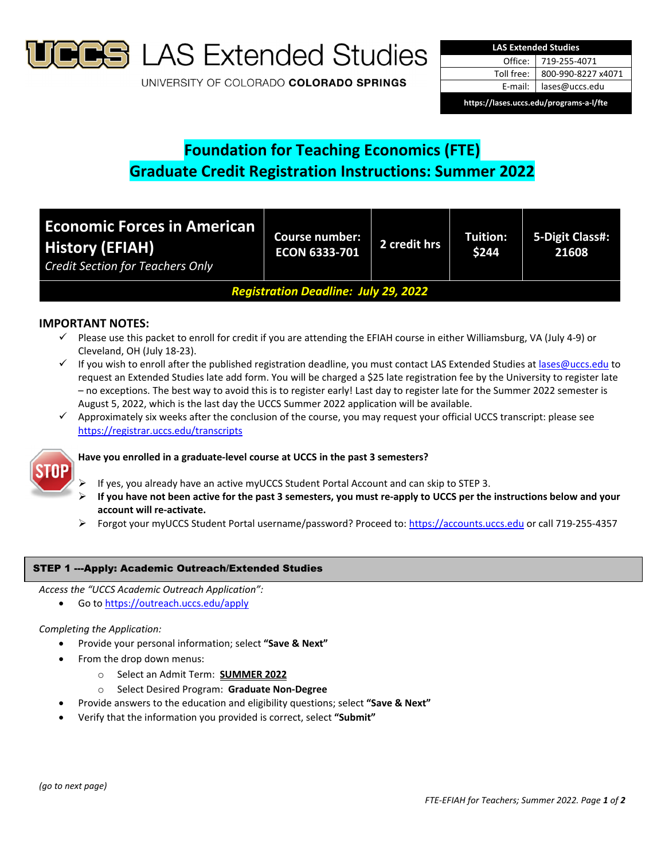

**S** LAS Extended Studies

UNIVERSITY OF COLORADO COLORADO SPRINGS

| <b>LAS Extended Studies</b>             |                    |  |  |  |
|-----------------------------------------|--------------------|--|--|--|
| Office:                                 | 719-255-4071       |  |  |  |
| Toll free:                              | 800-990-8227 x4071 |  |  |  |
| E-mail:                                 | lases@uccs.edu     |  |  |  |
| https://lases.uccs.edu/programs-a-l/fte |                    |  |  |  |

# **Foundation for Teaching Economics (FTE) Graduate Credit Registration Instructions: Summer 2022**

| <b>Economic Forces in American</b><br><b>History (EFIAH)</b><br><b>Credit Section for Teachers Only</b> | <b>Course number:</b><br><b>ECON 6333-701</b> | 2 credit hrs | Tuition:<br>\$244 | 5-Digit Class#:<br>21608 |
|---------------------------------------------------------------------------------------------------------|-----------------------------------------------|--------------|-------------------|--------------------------|
| <b>Registration Deadline: July 29, 2022</b>                                                             |                                               |              |                   |                          |

## **IMPORTANT NOTES:**

- $\checkmark$  Please use this packet to enroll for credit if you are attending the EFIAH course in either Williamsburg, VA (July 4-9) or Cleveland, OH (July 18‐23).
- If you wish to enroll after the published registration deadline, you must contact LAS Extended Studies at lases@uccs.edu to request an Extended Studies late add form. You will be charged a \$25 late registration fee by the University to register late – no exceptions. The best way to avoid this is to register early! Last day to register late for the Summer 2022 semester is August 5, 2022, which is the last day the UCCS Summer 2022 application will be available.
- $\checkmark$  Approximately six weeks after the conclusion of the course, you may request your official UCCS transcript: please see https://registrar.uccs.edu/transcripts



## **Have you enrolled in a graduate‐level course at UCCS in the past 3 semesters?**

- If yes, you already have an active myUCCS Student Portal Account and can skip to STEP 3.
- If you have not been active for the past 3 semesters, you must re-apply to UCCS per the instructions below and your **account will re‐activate.**
- Forgot your myUCCS Student Portal username/password? Proceed to: https://accounts.uccs.edu or call 719-255-4357

## STEP 1 ---Apply: Academic Outreach/Extended Studies

*Access the "UCCS Academic Outreach Application":*

• Go to https://outreach.uccs.edu/apply

#### *Completing the Application:*

- Provide your personal information; select **"Save & Next"**
- From the drop down menus:
	- o Select an Admit Term: **SUMMER 2022**
	- o Select Desired Program: **Graduate Non‐Degree**
- Provide answers to the education and eligibility questions; select **"Save & Next"**
- Verify that the information you provided is correct, select **"Submit"**